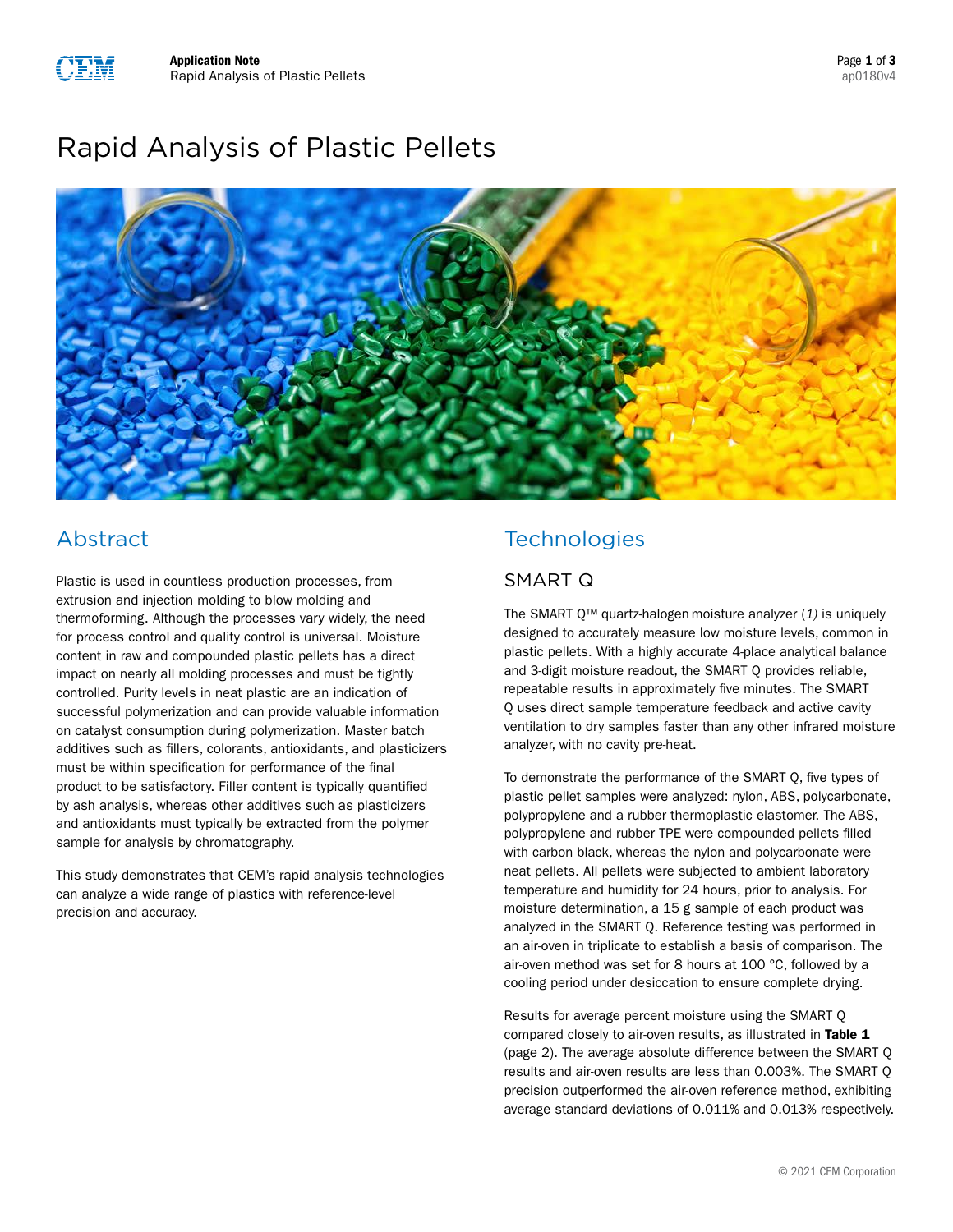# Rapid Analysis of Plastic Pellets



# Abstract

Plastic is used in countless production processes, from extrusion and injection molding to blow molding and thermoforming. Although the processes vary widely, the need for process control and quality control is universal. Moisture content in raw and compounded plastic pellets has a direct impact on nearly all molding processes and must be tightly controlled. Purity levels in neat plastic are an indication of successful polymerization and can provide valuable information on catalyst consumption during polymerization. Master batch additives such as fillers, colorants, antioxidants, and plasticizers must be within specification for performance of the final product to be satisfactory. Filler content is typically quantified by ash analysis, whereas other additives such as plasticizers and antioxidants must typically be extracted from the polymer sample for analysis by chromatography.

This study demonstrates that CEM's rapid analysis technologies can analyze a wide range of plastics with reference-level precision and accuracy.

# **Technologies**

### SMART Q

The [SMART Q™](http://cem.com/smart-q?utm_medium=organic&utm_source=plasticsappnote&utm_campaign=Rapid%20Analysis%20of%20Plastics%20Pellets&utm_content=App%20Note) quartz-halogen moisture analyzer (*1)* is uniquely designed to accurately measure low moisture levels, common in plastic pellets. With a highly accurate 4-place analytical balance and 3-digit moisture readout, the SMART Q provides reliable, repeatable results in approximately five minutes. The SMART Q uses direct sample temperature feedback and active cavity ventilation to dry samples faster than any other infrared moisture analyzer, with no cavity pre-heat.

To demonstrate the performance of the SMART Q, five types of plastic pellet samples were analyzed: nylon, ABS, polycarbonate, polypropylene and a rubber thermoplastic elastomer. The ABS, polypropylene and rubber TPE were compounded pellets filled with carbon black, whereas the nylon and polycarbonate were neat pellets. All pellets were subjected to ambient laboratory temperature and humidity for 24 hours, prior to analysis. For moisture determination, a 15 g sample of each product was analyzed in the SMART Q. Reference testing was performed in an air-oven in triplicate to establish a basis of comparison. The air-oven method was set for 8 hours at 100 °C, followed by a cooling period under desiccation to ensure complete drying.

Results for average percent moisture using the SMART Q compared closely to air-oven results, as illustrated in Table 1 (page 2). The average absolute difference between the SMART Q results and air-oven results are less than 0.003%. The SMART Q precision outperformed the air-oven reference method, exhibiting average standard deviations of 0.011% and 0.013% respectively.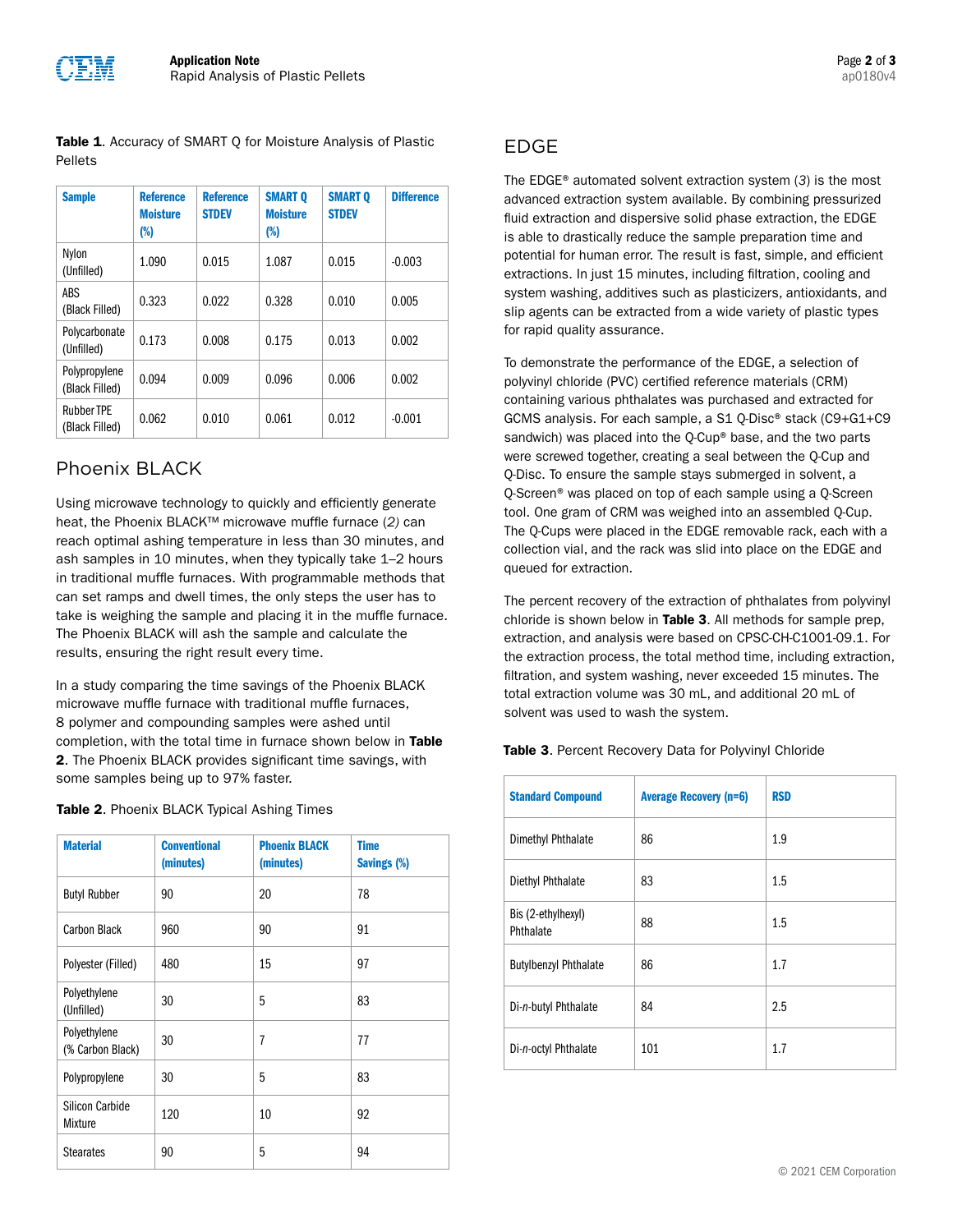Table 1. Accuracy of SMART Q for Moisture Analysis of Plastic [Pellets](http://cem.com/en/rapid-precise-moisture-analysis-for-plastic-pellets?utm_source=plasticsappnote&utm_medium=display&utm_campaign=Rapid%20Analysis%20of%20Plastics%20Pellets&utm_content=Data%20Table%201%20SMART%20Q)

| <b>Sample</b>                       | <b>Reference</b><br><b>Moisture</b><br>(%) | <b>Reference</b><br><b>STDEV</b> | <b>SMART O</b><br><b>Moisture</b><br>(%) | <b>SMART O</b><br><b>STDEV</b> | <b>Difference</b> |
|-------------------------------------|--------------------------------------------|----------------------------------|------------------------------------------|--------------------------------|-------------------|
| Nylon<br>(Unfilled)                 | 1.090                                      | 0.015                            | 1.087                                    | 0.015                          | $-0.003$          |
| ABS<br>(Black Filled)               | 0.323                                      | 0.022                            | 0.328                                    | 0.010                          | 0.005             |
| Polycarbonate<br>(Unfilled)         | 0.173                                      | 0.008                            | 0.175                                    | 0.013                          | 0.002             |
| Polypropylene<br>(Black Filled)     | 0.094                                      | 0.009                            | 0.096                                    | 0.006                          | 0.002             |
| <b>Rubber TPE</b><br>(Black Filled) | 0.062                                      | 0.010                            | 0.061                                    | 0.012                          | $-0.001$          |

### Phoenix BLACK

Using microwave technology to quickly and efficiently generate heat, the [Phoenix BLACK](http://cem.com/phoenix?utm_medium=organic&utm_source=plasticsappnote&utm_campaign=Rapid%20Analysis%20of%20Plastics%20Pellets&utm_content=App%20Note)™ microwave muffle furnace (*2)* can reach optimal ashing temperature in less than 30 minutes, and ash samples in 10 minutes, when they typically take 1–2 hours in traditional muffle furnaces. With programmable methods that can set ramps and dwell times, the only steps the user has to take is weighing the sample and placing it in the muffle furnace. The Phoenix BLACK will ash the sample and calculate the results, ensuring the right result every time.

In a study comparing the time savings of the Phoenix BLACK microwave muffle furnace with traditional muffle furnaces, 8 polymer and compounding samples were ashed until completion, with the total time in furnace shown below in Table 2. The Phoenix BLACK provides significant time savings, with some samples being up to 97% faster.

| <b>Material</b>                  | <b>Conventional</b><br>(minutes) | <b>Phoenix BLACK</b><br>(minutes) | <b>Time</b><br>Savings (%) |
|----------------------------------|----------------------------------|-----------------------------------|----------------------------|
| <b>Butyl Rubber</b>              | 90                               | 20                                | 78                         |
| Carbon Black                     | 960                              | 90                                | 91                         |
| Polyester (Filled)               | 480                              | 15                                | 97                         |
| Polyethylene<br>(Unfilled)       | 30                               | 5                                 | 83                         |
| Polyethylene<br>(% Carbon Black) | 30                               | $\overline{1}$                    | 77                         |
| Polypropylene                    | 30                               | 5                                 | 83                         |
| Silicon Carbide<br>Mixture       | 120                              | 10                                | 92                         |
| <b>Stearates</b>                 | 90                               | 5                                 | 94                         |

### EDGE

The [EDGE](http://cem.com/edge?utm_medium=organic&utm_source=plasticsappnote&utm_campaign=Rapid%20Analysis%20of%20Plastics%20Pellets&utm_content=App%20Note)® automated solvent extraction system (*3*) is the most advanced extraction system available. By combining pressurized fluid extraction and dispersive solid phase extraction, the EDGE is able to drastically reduce the sample preparation time and potential for human error. The result is fast, simple, and efficient extractions. In just 15 minutes, including filtration, cooling and system washing, additives such as plasticizers, antioxidants, and slip agents can be extracted from a wide variety of plastic types for rapid quality assurance.

To demonstrate the performance of the EDGE, a selection of polyvinyl chloride (PVC) certified reference materials (CRM) containing various phthalates was purchased and extracted for GCMS analysis. For each sample, a S1 Q-Disc® stack (C9+G1+C9 sandwich) was placed into the Q-Cup® base, and the two parts were screwed together, creating a seal between the Q-Cup and Q-Disc. To ensure the sample stays submerged in solvent, a Q-Screen® was placed on top of each sample using a Q-Screen tool. One gram of CRM was weighed into an assembled Q-Cup. The Q-Cups were placed in the EDGE removable rack, each with a collection vial, and the rack was slid into place on the EDGE and queued for extraction.

The percent recovery of the extraction of phthalates from polyvinyl chloride is shown below in Table 3. All methods for sample prep, extraction, and analysis were based on CPSC-CH-C1001-09.1. For the extraction process, the total method time, including extraction, filtration, and system washing, never exceeded 15 minutes. The total extraction volume was 30 mL, and additional 20 mL of solvent was used to wash the system.

Table 3. [Percent Recovery Data for Polyvinyl Chloride](http://cem.com/en/extraction-of-phthalates-from-polyethylene-and-polyvinyl-chloride?utm_medium=organic&utm_source=plasticsappnote&utm_campaign=Rapid%20Analysis%20of%20Plastics%20Pellets&utm_content=App%20Note)

| <b>Standard Compound</b>        | <b>Average Recovery (n=6)</b> | <b>RSD</b> |
|---------------------------------|-------------------------------|------------|
| Dimethyl Phthalate              | 86                            | 1.9        |
| Diethyl Phthalate               | 83                            | $1.5\,$    |
| Bis (2-ethylhexyl)<br>Phthalate | 88                            | 1.5        |
| <b>Butylbenzyl Phthalate</b>    | 86                            | 1.7        |
| Di-n-butyl Phthalate            | 84                            | 2.5        |
| Di-n-octyl Phthalate            | 101                           | 1.7        |